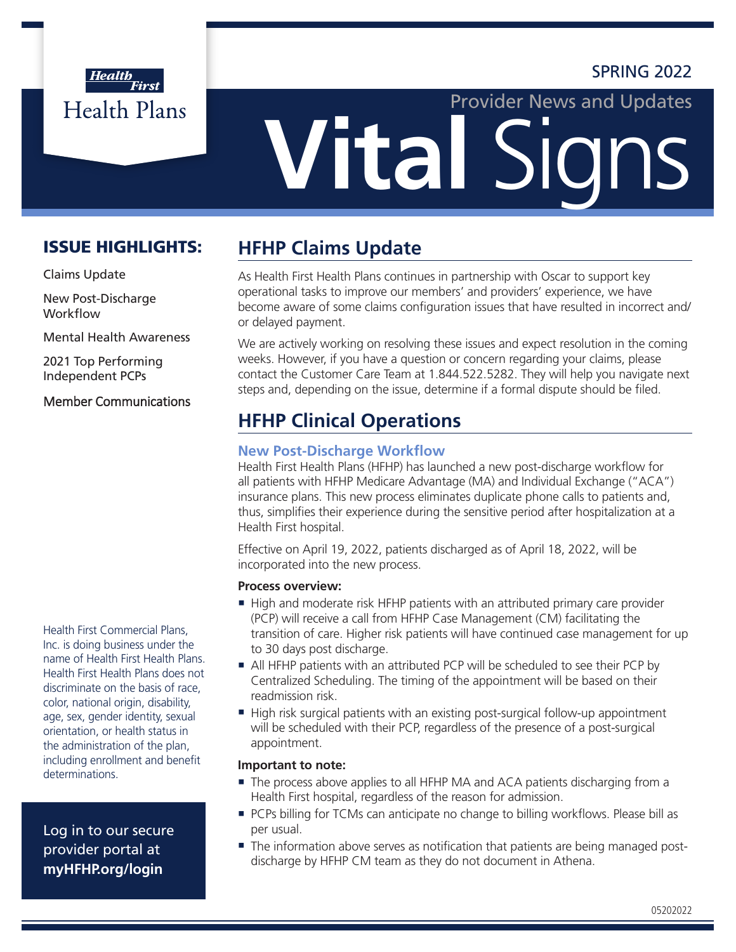## SPRING 2022



# **Vital Sig** Provider News and Updates

## ISSUE HIGHLIGHTS:

Claims Update

New Post-Discharge **Workflow** 

Mental Health Awareness

2021 Top Performing Independent PCPs

## Member Communications

Health First Commercial Plans, Inc. is doing business under the name of Health First Health Plans. Health First Health Plans does not discriminate on the basis of race, color, national origin, disability, age, sex, gender identity, sexual orientation, or health status in the administration of the plan, including enrollment and benefit determinations.

Log in to our secure provider portal at **[myHFHP.org/login](http://myHFHP.org/login)**

# **HFHP Claims Update**

As Health First Health Plans continues in partnership with Oscar to support key operational tasks to improve our members' and providers' experience, we have become aware of some claims configuration issues that have resulted in incorrect and/ or delayed payment.

We are actively working on resolving these issues and expect resolution in the coming weeks. However, if you have a question or concern regarding your claims, please contact the Customer Care Team at 1.844.522.5282. They will help you navigate next steps and, depending on the issue, determine if a formal dispute should be filed.

# **HFHP Clinical Operations**

## **New Post-Discharge Workflow**

Health First Health Plans (HFHP) has launched a new post-discharge workflow for all patients with HFHP Medicare Advantage (MA) and Individual Exchange ("ACA") insurance plans. This new process eliminates duplicate phone calls to patients and, thus, simplifies their experience during the sensitive period after hospitalization at a Health First hospital.

Effective on April 19, 2022, patients discharged as of April 18, 2022, will be incorporated into the new process.

#### **Process overview:**

- High and moderate risk HFHP patients with an attributed primary care provider (PCP) will receive a call from HFHP Case Management (CM) facilitating the transition of care. Higher risk patients will have continued case management for up to 30 days post discharge.
- ¡ All HFHP patients with an attributed PCP will be scheduled to see their PCP by Centralized Scheduling. The timing of the appointment will be based on their readmission risk.
- ¡ High risk surgical patients with an existing post-surgical follow-up appointment will be scheduled with their PCP, regardless of the presence of a post-surgical appointment.

## **Important to note:**

- The process above applies to all HFHP MA and ACA patients discharging from a Health First hospital, regardless of the reason for admission.
- **PCPs billing for TCMs can anticipate no change to billing workflows. Please bill as** per usual.
- **•** The information above serves as notification that patients are being managed postdischarge by HFHP CM team as they do not document in Athena.